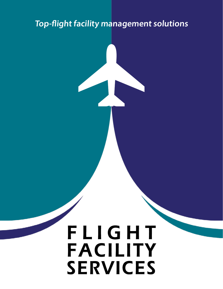## **Top-flight facility management solutions**

# FLIGHT **FACILITY** services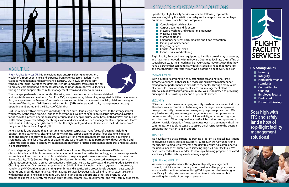

### ABOUT US

Flight Facility Services (FFS) is an exciting new enterprise bringing together a wealth of airport experience and expertise from two respected leaders in the facilities management and maintenance industry. Our newly emerged joint venture enterprise leverages the greatest strengths and assets from each partner to provide comprehensive and steadfast facility solutions to public venue facilities, through a solid support structure for management teams and stakeholders alike.

The strategic partnership incorporates the skills, talents and resources of two established and reputable service providers: **Dirt Pros EVS**, a single-source, full-service, integrated facilities maintenance firm, headquartered in Broward County whose service portfolio spans several specialty divisions throughout the state of Florida, and **Gali Service Industries, Inc. (GSI)**, an integrated facility management company operating in 13 states and the District of Columbia.

Dirt Pros comes with an extensive knowledge of the South Florida region and access to the strongest local workforce. At the same time, GSI brings to the venture a wealth of experience in large airport and aviation facilities, with a proven operations history of success and deep industry know-how. Both Dirt Pros and GSI are 100% minority owned and together bring a cadre of diverse and talented management and operations teams that result in a strong synergistic force to offer the high quality and reliable service to the Fort Lauderdale/ Hollywood International Airport (FLL).

At FFS, we fully understand that airport maintenance incorporates many facets of cleaning, including but not limited to, terminal cleaning, window cleaning, carpet cleaning, special floor cleaning, baggage belts and cleaning of outlying buildings. We have a strong management team and expertise in creating systematic solutions for these areas of cleaning, and we are committed to partnering with our vendors and subcontractors to ensure continuity, implementation of best practice performance standards and measurable client satisfaction.

Our strategic objective is to offer the Broward County Aviation Department Maintenance Division distinguished capabilities from seasoned management teams, innovative technology, and a proven approach to carefully tailored programs capable of achieving the quality performance standards based on the Airport Service Quality (ASQ) Survey. Flight Facility Services combines the most advanced management service solutions, combined with optimal preventative and restorative facility services, and a cutting-edge Eco Healthy Cleaning program. Our services range more than 50 disciplines, including janitorial, general maintenance/ handyman; HVAC/refrigeration; painting; plumbing and electrical; fire protection; locks/gates; pest control; lighting; and grounds maintenance. Flight Facility Services leverages its local and national expertise along with partner experience in maintaining 24/7 facilities including airports and other large venues. Our combined expertise currently reaches an array of retail, commercial, governmental and multi-family properties.



Specifically, Flight Facility Services offers the following top-notch services sought by the aviation industry such as airports and other large public and private facilities and complexes:

- **Complete janitorial services**
- Carpet cleaning and floor care  $\mathcal{L}_{\mathcal{A}}$
- Pressure washing and exterior maintenance
- Window cleaning
- Staffing solutions  $\mathcal{O}(\mathbb{R})$
- Emergency services (including fire and flood restoration)  $\mathcal{O}(\mathbb{R})$
- Parking lot maintenance  $\mathcal{L}_{\mathcal{A}}$
- $\mathcal{L}_{\mathcal{A}}$ Recycling services
- Construction final clean  $\mathcal{L}_{\mathcal{A}}$
- Event services and catering  $\mathcal{O}(\mathbb{R})$

Flight Facility Services is well equipped to handle a broad array of services, and has strong networks within Broward County to facilitate the staffing of special projects as their need may be. Our clients may rest easy that they have a partner that can handle any facility specialty need that may arise, and that their best interests will always be at the helm of every decision.

#### MANAGEMENT

With a superior combination of substantial local and national large airport experience Flight Facility Services brings proven maintenance management performance in airports to the table. Through many years of learned lessons, we implement successful management plans to achieve a high level of program continuity. We are dedicated to providing our airport clients with quality and dependable service.

#### **SECURITY**

FFS understands the ever-changing security needs in the aviation industry. Therefore, we are committed to training our managers and employees on airport security measures and emergency response procedures. We emphasize security awareness, passenger safety and prompt response to potential security risks such as suspicious activity, unattended luggage, and biohazards. When required, our staff will be trained and approved to drive on Airfield Operation Areas. We equip our management with all the communications tools necessary to assure quick response to the possible problems that may arise in an airport.

#### TRAINING

We have learned that a structured training program is a critical investment to providing quality services in airports. Moreover, we fully understand the specific training requirements necessary to ensure full compliance to the unique needs associated with servicing large, 24-hour facilities. We have partnered with our vendors to develop a training program dedicated specifically to the techniques of cleaning airports.

#### QUALITY ASSURANCE

We ensure top performance through a total quality management concept, which includes company-sponsored incentive programs and an automated inspection system utilizing PDA inspection devices designed specifically for airports. We are committed to not only meeting but exceeding the needs of our airport partners.

#### **FFS' Strong Values:**

- **Honesty**
- **Integrity**
- **High performance standards**
- **EXECOMMITTED COMMITTED training**
- **Employee loyalty**
- **Dedicated**
- **Forward-thinking**

**Soar high with FFS and safely land a host of top-flight facility management solutions!**



## services & customized solutions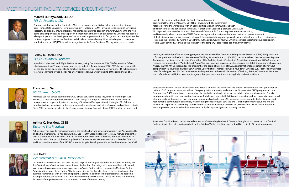#### **Marcell D. Haywood, LEED AP**

#### *FFS Co-Founder & CEO*

A former point guard for the Seminoles, Marcell Haywood earned his bachelor's and master's degree from Florida State University. Having grown up in Plantation, FL, Mr. Haywood set to establish Dirt Pros, a successful and rapidly growing facilities maintenance enterprise based in Broward County. With the wellbeing of its employees and of each person it encounters at the core of its operations, Dirt Pros has become a key participant in the development of the local working community. Its fast growth and a unique peoplecentered approach has earned Dirt Pros both local and national recognition, including two consecutive nominations in Inc 500|5000 as well as recognition for its Green Practices. Mr. Haywood set a corporate

iniciative to provide better jobs to the South Florida Community, earning Dirt Pros the *Inc Magazine* 2012 Hire Power Award. His involvement reaches beyond the work arena, with an active participation in community outreach and both cultural and educational initiatives. A graduate of Leadership Broward Class XXVIII, Mr. Haywood volunteers his time with the Riverwalk Trust, the St. Thomas Aquinas Alumni Association, and is currently a board member of FLITE Center, an organization that provides resources for children who are out of the foster care system. Mr. Haywood also participates regularly as guest speaker in local and national business conferences. He earned the 40 under 40 Award in 2012 from *South Florida Business Journal*, which recognizes exceptional business leaders. He is a LEED-certified AP, bringing this strength to the company's core rooted eco-friendly initiatives.



#### **Francisco J. Gali** *GSI Chairman & CEO*

Francisco Gali has served as president & CEO of Gali Service Industries, Inc., since its founding in 1989. Francisco, a then-undergraduate student at The George Washington University, who out of need and perception of an opportunity started cleaning offices himself as a part-time job at night. Mr. Gali who is based outside of the nation's capital has grown an impressive network of professional and political contacts. Since 2002, he has been active in the Congressional Hispanic Caucus Institute (CHCI) and has served as both director and treasurer for the organization who vision is bringing the promise of the American Dream to the next generation of Latinos. CHCI programs serve more than 1,500 young Latinos annually, and more than 30 years later, CHCI programs, account for more than 5,400 alumni across the country who are Latino leaders in all sectors — public, private, and nonprofit. Francisco's entrepreneurial spirit, hard work and networking efforts helped him establish this most respected and successful Maryland-based cleaning and maintenance services company. Under Mr. Gali leadership, GSI's focus and commitment to its clients' needs and requirements contributes to continually incrementing the facility types serviced and launching innovative solutions into the market. His experienced team is equipped with the technical knowledge and skills to exceed clients' expectations in terms of services provided, concerned with requirements set by facility managers and property owners.



#### **LeRoy D. Dock, CBSE** *FFS Co-Founder & President*

In addition to his work with Flight Facility Services, LeRoy Dock serves as GSI's Chief Operations Officer, who has more than 35 years of experience in the industry. Before joining GSI in 2001, he was responsible for the day-to-day operations of a \$24 million janitorial services company servicing over 16 million square feet, with 1,100 employees. LeRoy has a very comprehensive understanding of the components of a

## **Lisa Held**

#### *Vice President of Business Development*

Lisa Held has developed her skills over the past 10 years working for reputable institutions, including the *Sun-Sentinel*, Nova Southeastern University and Kaplan, Inc. She brings with her a wealth of skills as well as extensive business development experience. A South Florida native, Lisa earned a Master of Business Administration degree from Florida Atlantic University. At Dirt Pros, her focus is on the development of business relationships with existing and potential clients. In addition to her professional and academic accomplishments, she remains active in many community and charitable causes, including volunteering for non-profit organizations such as Women in Distress of Broward County.

well-organized and proficient cleaning program. He has received his Certified Building Service Executive (CBSE) designation and is former president of the Capital Association of Building Service Contractors (CABSC). He has also been the chairman of Regional Training and the Supervision Seminar Committee of the Building Service Contractor's Association International (BSCAI), where he received the organization's "Walter L. Cook Award" for Distinguished Service as well as received the BSCAI Outstanding Chairperson Award. In 2004, Mr. Dock served as the president of the Board of Directors of BSCAI, an international association of over 1,100 companies in 13 countries. It was at BSCAI where LeRoy first met Marcell Haywood, founder of Dirt Pros EVP, Flight Facility Services' other founding partner. Mr. Dock now serves as the president of the World Federation of Building Service Contractors. He is also the co-founder of HOPE, Inc., a non-profit agency that provides transitional housing for homeless individuals.



#### **Arthur C. Stecklow, CBSE** *Executive Vice President*

Art Stecklow has over 40 years experience in the construction and service industries in the Washington, DC and Baltimore markets. He has been with GSI Eco Healthy Cleaning for over 15 years. Art was president as well as a member of the Board of Directors of the Capitol Association of Building Service Contractors. Art is on the Board of Directors of the Building Service Contractors Association International, Board of Directors and Executive Committee of the MD/DC Minority Supplier Development Council and Member of the AOBA



Associates Coalition Team. He has earned numerous "Outstanding Leadership" awards throughout his career. Art is a Certified Building Service Executive and a graduate of the Building Wellness Institute's accredited Green Seal – 42 training program.



## meet the flight facility services executive team

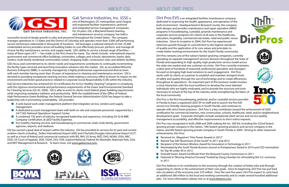# Gali Service Industries, Inc.

Dirt Pros EVS is an integrated facilities maintenance company dedicated to improving the health, appearance, and operation of the built environment. Headquartered in Broward County, the company both designs and provides maintenance and repair operation (MRO) programs in housekeeping, custodial, grounds maintenance and corporate services programs for clients of all sizes in the healthcare, education, hospitality, commercial real estate, retail and public venue industries. Since its inception in 2004, Dirt Pros has experienced extensive growth through its commitment to the highest standards of quality and the application of its core values and principles to create better working environments for the South Florida community.

Dirt Pros remains one of the nation's fastest-growing companies; currently operating six separate management services divisions throughout the State of Florida and expanding its high-quality, high-production service model across the state one market and one customer at a time. Dirt Pros currently maintains a labor pool of hundreds of seasoned, professional specialists and managers focused on bringing high-level solutions to each engagement. Dirt Pros works with its clients as a partner to establish and maintain stringent levels of safety and quality through the use of technology and to create efficiencies throughout its operations. An important part of this business model involves a close interaction with the local workforce to develop the most talented individuals who are highly motivated, and to provide the structure and tools necessary to remain at the top of the industry while strengthening the fabric of the local community.

- **Received Inc. Magazine's "Hire Power Awards in 2012"**
- Named Top 300 "Businesses of the South" in 2011 and 2012
- $\mathcal{L}^{\text{max}}$ Recipient of the Verizon Wireless Award for Innovation in Technology in 2011
- $\mathcal{L}^{\mathcal{A}}$ for Top 40 under 40 in 2012
- $\sim 100$ Emerald Green Award Certificate from the Broward County Commission in 2011
- in 2011

Dirt Pros believes in its contribution to the economy through the creation of better jobs and through supporting its clients in the achievement of their core goals. Since its beginning, Dirt Pros has put back into circulation of the economy over \$70 million. Over the next five years, Dirt Pros expect to cycle back an additional \$80 million to the local and working community and to create several hundred additional jobs. For more information, please visit us at www.dirtpros.com.









Dirt Pros is the first housekeeping, janitorial, and/or custodial services provider in Florida to have a registered LEED AP on staff and to launch the first fullservice eco-friendly cleaning program in South Florida, and continues to operate with strict Green practices. Dirt Pros is a key contributor toward the achievement of LEED certification for commercial interiors, new construction, schools, healthcare, retail, and/or neighborhood development goals. Corporate strengths include exceptional client service and service quality, management accessibility, and effective responsiveness to short notice requests.

Dirt Pros was recognized in both 2008 and 2009 making the Inc. 500 list, including the 232nd fastestgrowing private company in the nation, 19th fastest-growing products and service company in the nation, and 6th fastest-growing private company in South Florida in 2009. Among its other esteemed achievements, Dirt Pros:

Nominated by the *South Florida Business Journal* as Entrepreneur Award in 2010 and CEO nomination

■ Featured in "Moving America Forward," hosted by Doug Llewelyn for stimulating the U.S. economy

- A web-based work order management platform that integrates service, vendors and supply management.
- A dedicated account management team with both on-site and corporate personnel, supported by a 24/7/365 National Operations Support Center.
- A combined 150 years of industry recognized leadership and experience, including GS-42 & MBE Company Certification, & LEED Facility Expertise.
- **EX** Eco-healthy cleaning services and housekeeping to commercial, retail, multi-family, government agencies, airports, and stadiums.

Gali Service Industries, Inc. (GSI) is

one of Washington, DC metropolitan area's largest and respected facilities maintenance, janitorial and integrated service management companies. For 24 years, GSI, a Maryland-based cleaning and maintenance services company, has held a

successful record of steady growth in sales and personnel throughout the United States. The company manages operations in 13 states and the District of Columbia and operates more than 3,000 self-performing service technicians nationwide in thousands of locations. GSI leverages a national network of over 25,000 credentialed service providers across all building trades to cost-effectively procure, perform, and manage all of your facility maintenance, service, and supply needs. GSI's ability to service a broad range of facilities many of them open 24/7 — has made us the first choice for many. Our clients include: international airports; government and commercial office buildings; universities, colleges and schools; laboratories; banks; data centers; multi-family residential communities; hotels; shopping malls; construction sites; and athletic facilities.

GSI's focus and commitment to its clients' needs and requirements contributes to continually incrementing the facility types serviced and launching innovative solutions into the market. GSI, an accredited Minority Business Enterprise (MBE), is currently managed by a highly professional, experienced and diverse team with each member having more than 20 years of experience in cleaning and maintenance services. GSI is devoted to providing exceptional cleaning services while making a conscious effort to lessen its impact on the environment and foster good practices related to Corporate Social Responsibility (CSR) within the industry.

Gali Service Industries has achieved GS-42 certification for its Eco Healthy Cleaning™ program in complying with the rigorous environmental and performance requirements of the Green Seal Environmental Standard for Cleaning Services (GS-42, 2006). GSI is able to assist its clients meet federal green building requirements while improving workplace wellness and productivity. With the establishment of the Office of Federal High Performance Green Buildings, the Federal General Services Administration (GSA) has begun to take a leadership role in promoting sustainability. GSI provides:

GSI has earned a great deal of respect within the industry. GSI has provided its services for its past and current aviation clients including: Dulles International Airport (IAD) and Charlotte/Douglas International Airport (CLT) as well as a host of federal and commercial contracts with IRS, NIH, US Army, NIST, DHS, NOAA, DISA, NRC, DOD, US Court of Appeals, DOE, USDA, DOJ, FDA, Gaylord National, Federal Air Marshalls, Nationals Park, GSA, and REIT Management & Research. To learn more, vist www.galiservice.com.













## about gsi about dirt pros